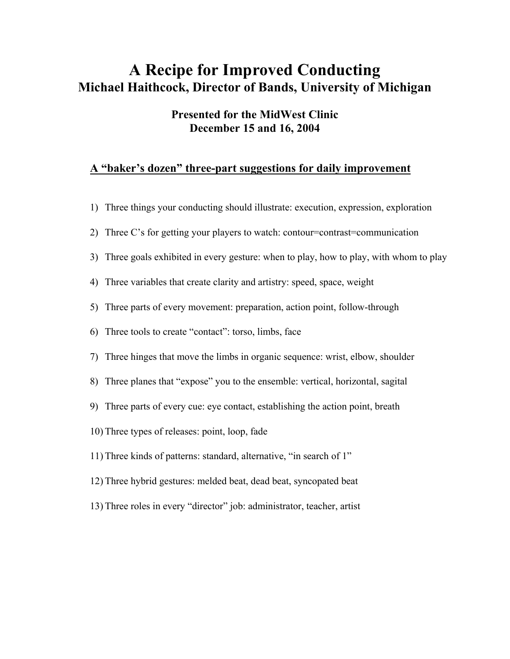## **A Recipe for Improved Conducting Michael Haithcock, Director of Bands, University of Michigan**

## **Presented for the MidWest Clinic December 15 and 16, 2004**

## **A "baker's dozen" three-part suggestions for daily improvement**

|    | 1) Three things your conducting should illustrate: execution, expression, exploration   |
|----|-----------------------------------------------------------------------------------------|
| 2) | Three C's for getting your players to watch: contour=contrast=communication             |
|    | 3) Three goals exhibited in every gesture: when to play, how to play, with whom to play |
|    | 4) Three variables that create clarity and artistry: speed, space, weight               |
|    | 5) Three parts of every movement: preparation, action point, follow-through             |
|    | 6) Three tools to create "contact": torso, limbs, face                                  |
|    | 7) Three hinges that move the limbs in organic sequence: wrist, elbow, shoulder         |
|    | 8) Three planes that "expose" you to the ensemble: vertical, horizontal, sagital        |
|    | 9) Three parts of every cue: eye contact, establishing the action point, breath         |
|    | 10) Three types of releases: point, loop, fade                                          |
|    | 11) Three kinds of patterns: standard, alternative, "in search of 1"                    |
|    | 12) Three hybrid gestures: melded beat, dead beat, syncopated beat                      |
|    | 13) Three roles in every "director" job: administrator, teacher, artist                 |
|    |                                                                                         |